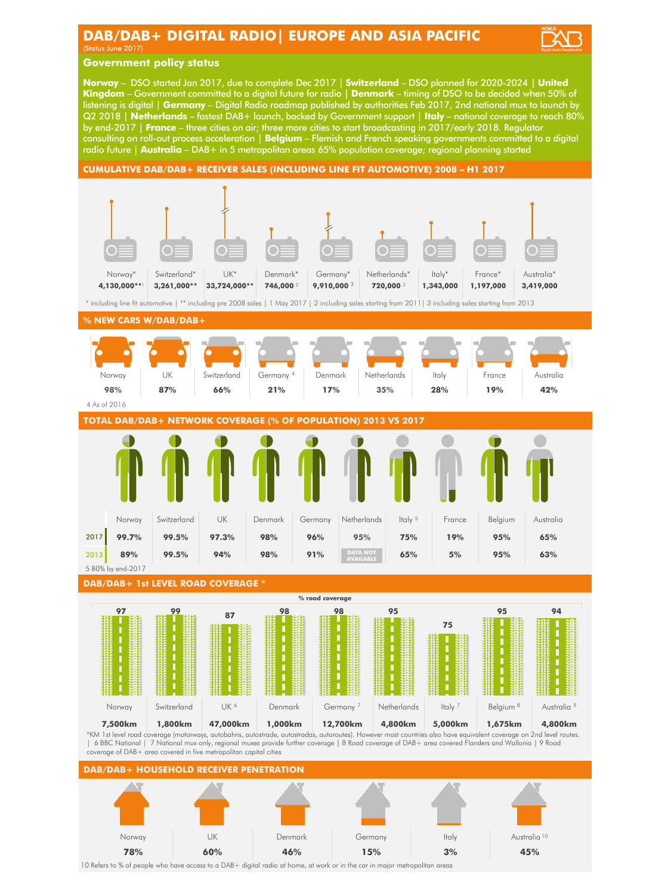# **DAB/DAB+ DIGITAL RADIO| EUROPE AND ASIA PACIFIC**

(Status June 2017)

# **Government policy status**

**Norway** – DSO started Jan 2017, due to complete Dec 2017 | **Switzerland** – DSO planned for 2020-2024 | **United Kingdom** – Government committed to a digital future for radio | **Denmark** – timing of DSO to be decided when 50% of listening is digital | **Germany** – Digital Radio roadmap published by authorities Feb 2017, 2nd national mux to launch by Q2 2018 | **Netherlands** – fastest DAB+ launch, backed by Government support | **Italy** – national coverage to reach 80% by end-2017 | **France** – three cities on air; three more cities to start broadcasting in 2017/early 2018. Regulator consulting on roll-out process acceleration | **Belgium** – Flemish and French speaking governments committed to a digital radio future | **Australia** – DAB+ in 5 metropolitan areas 65% population coverage; regional planning started

## **CUMULATIVE DAB/DAB+ RECEIVER SALES (INCLUDING LINE FIT AUTOMOTIVE) 2008 – H1 2017**



10 Refers to % of people who have access to a DAB+ digital radio at home, at work or in the car in major metropolitan areas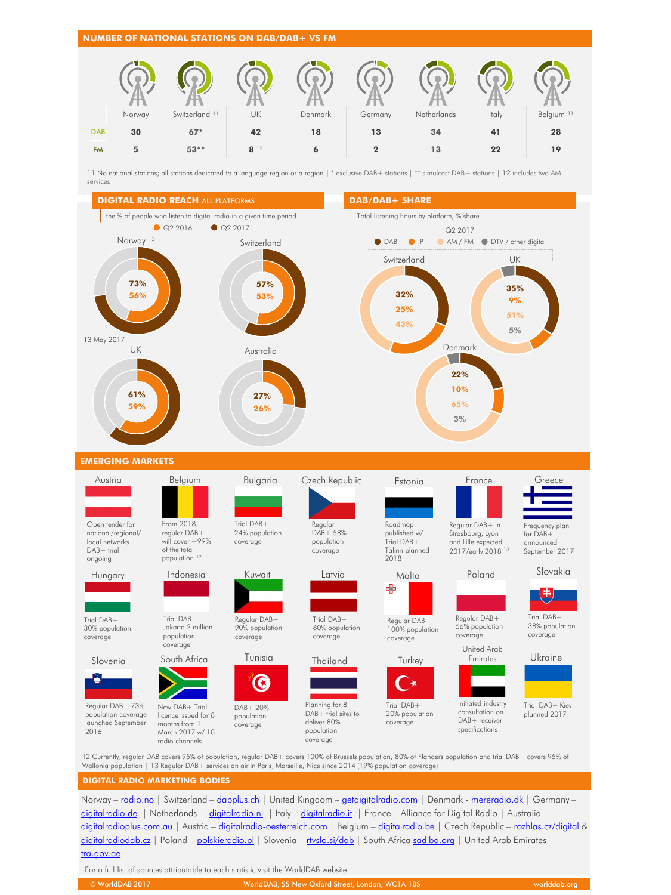



11 No national stations; all stations dedicated to a language region or a region | \* exclusive DAB+ stations | \*\* simulcast DAB+ stations | 12 includes two AM services



Norway – [radio.no](http://www.radio.no/) | Switzerland – [dabplus.ch](http://www.dabplus.ch/) | United Kingdom – [getdigitalradio.com](http://www.getdigitalradio.com/) | Denmark - [mereradio.dk](https://mereradio.dk/) | Germany – [digitalradio.de](http://www.digitalradio.de/) | Netherlands – [digitalradio.nl](http://www.digitalradio.nl/) | Italy – [digitalradio.it](http://www.digitalradio.it/) | France – Alliance for Digital Radio | Australia – [digitalradioplus.com.au](http://www.digitalradioplus.com.au/) | Austria – [digitalradio-oesterreich.com](http://digitalradio-oesterreich.com/) | Belgium – [digitalradio.be](http://www.digitalradio.be/) | Czech Republic – [rozhlas.cz/digital](http://rozhlas.cz/digital/) & [digitalradiodab.cz](http://www.digitalradiodab.cz/) | Poland – [polskieradio.pl](http://polskieradio.pl/) | Slovenia – [rtvslo.si/dab](http://rtvslo.si/dab/) | South Africa [sadiba.org](http://sadiba.org/) | United Arab Emirates [tra.gov.ae](http://tra.gov.ae/)

For a full list of sources attributable to each statistic visit the WorldDAB website.

| © WorldDAB 2017 | NorldDAB, 55 New Oxford Street, London, WC1A 1BS \, | worlddab.ora |
|-----------------|-----------------------------------------------------|--------------|
|                 |                                                     |              |